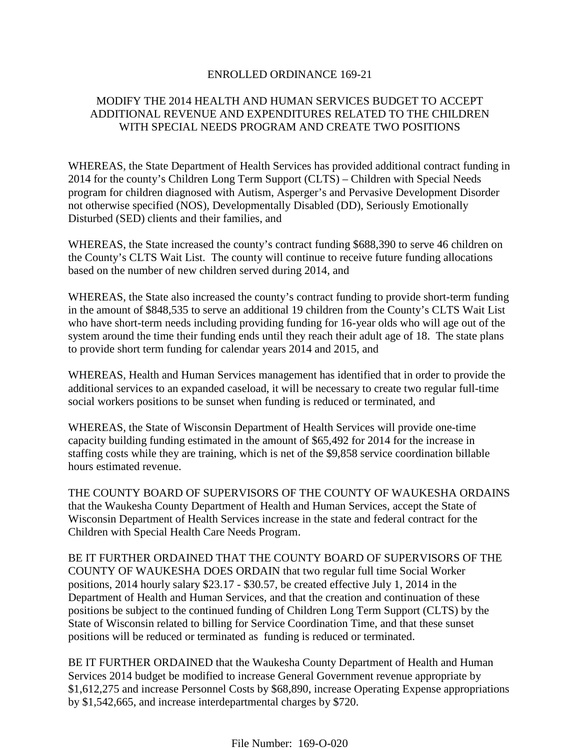#### ENROLLED ORDINANCE 169-21

### MODIFY THE 2014 HEALTH AND HUMAN SERVICES BUDGET TO ACCEPT ADDITIONAL REVENUE AND EXPENDITURES RELATED TO THE CHILDREN WITH SPECIAL NEEDS PROGRAM AND CREATE TWO POSITIONS

WHEREAS, the State Department of Health Services has provided additional contract funding in 2014 for the county's Children Long Term Support (CLTS) – Children with Special Needs program for children diagnosed with Autism, Asperger's and Pervasive Development Disorder not otherwise specified (NOS), Developmentally Disabled (DD), Seriously Emotionally Disturbed (SED) clients and their families, and

WHEREAS, the State increased the county's contract funding \$688,390 to serve 46 children on the County's CLTS Wait List. The county will continue to receive future funding allocations based on the number of new children served during 2014, and

WHEREAS, the State also increased the county's contract funding to provide short-term funding in the amount of \$848,535 to serve an additional 19 children from the County's CLTS Wait List who have short-term needs including providing funding for 16-year olds who will age out of the system around the time their funding ends until they reach their adult age of 18. The state plans to provide short term funding for calendar years 2014 and 2015, and

WHEREAS, Health and Human Services management has identified that in order to provide the additional services to an expanded caseload, it will be necessary to create two regular full-time social workers positions to be sunset when funding is reduced or terminated, and

WHEREAS, the State of Wisconsin Department of Health Services will provide one-time capacity building funding estimated in the amount of \$65,492 for 2014 for the increase in staffing costs while they are training, which is net of the \$9,858 service coordination billable hours estimated revenue.

THE COUNTY BOARD OF SUPERVISORS OF THE COUNTY OF WAUKESHA ORDAINS that the Waukesha County Department of Health and Human Services, accept the State of Wisconsin Department of Health Services increase in the state and federal contract for the Children with Special Health Care Needs Program.

BE IT FURTHER ORDAINED THAT THE COUNTY BOARD OF SUPERVISORS OF THE COUNTY OF WAUKESHA DOES ORDAIN that two regular full time Social Worker positions, 2014 hourly salary \$23.17 - \$30.57, be created effective July 1, 2014 in the Department of Health and Human Services, and that the creation and continuation of these positions be subject to the continued funding of Children Long Term Support (CLTS) by the State of Wisconsin related to billing for Service Coordination Time, and that these sunset positions will be reduced or terminated as funding is reduced or terminated.

BE IT FURTHER ORDAINED that the Waukesha County Department of Health and Human Services 2014 budget be modified to increase General Government revenue appropriate by \$1,612,275 and increase Personnel Costs by \$68,890, increase Operating Expense appropriations by \$1,542,665, and increase interdepartmental charges by \$720.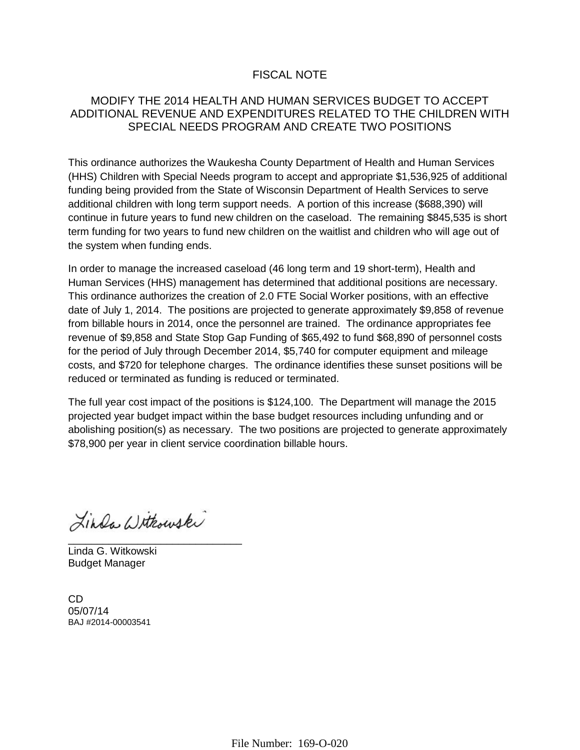# FISCAL NOTE

## MODIFY THE 2014 HEALTH AND HUMAN SERVICES BUDGET TO ACCEPT ADDITIONAL REVENUE AND EXPENDITURES RELATED TO THE CHILDREN WITH SPECIAL NEEDS PROGRAM AND CREATE TWO POSITIONS

This ordinance authorizes the Waukesha County Department of Health and Human Services (HHS) Children with Special Needs program to accept and appropriate \$1,536,925 of additional funding being provided from the State of Wisconsin Department of Health Services to serve additional children with long term support needs. A portion of this increase (\$688,390) will continue in future years to fund new children on the caseload. The remaining \$845,535 is short term funding for two years to fund new children on the waitlist and children who will age out of the system when funding ends.

In order to manage the increased caseload (46 long term and 19 short-term), Health and Human Services (HHS) management has determined that additional positions are necessary. This ordinance authorizes the creation of 2.0 FTE Social Worker positions, with an effective date of July 1, 2014. The positions are projected to generate approximately \$9,858 of revenue from billable hours in 2014, once the personnel are trained. The ordinance appropriates fee revenue of \$9,858 and State Stop Gap Funding of \$65,492 to fund \$68,890 of personnel costs for the period of July through December 2014, \$5,740 for computer equipment and mileage costs, and \$720 for telephone charges. The ordinance identifies these sunset positions will be reduced or terminated as funding is reduced or terminated.

The full year cost impact of the positions is \$124,100. The Department will manage the 2015 projected year budget impact within the base budget resources including unfunding and or abolishing position(s) as necessary. The two positions are projected to generate approximately \$78,900 per year in client service coordination billable hours.

Linda Withouski

\_\_\_\_\_\_\_\_\_\_\_\_\_\_\_\_\_\_\_\_\_\_\_\_\_\_\_\_\_\_ Linda G. Witkowski Budget Manager

CD 05/07/14 BAJ #2014-00003541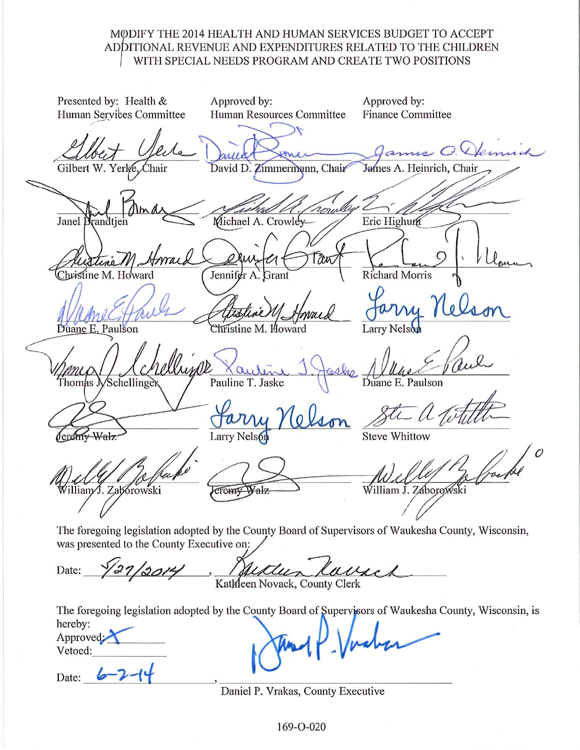## MODIFY THE 2014 HEALTH AND HUMAN SERVICES BUDGET TO ACCEPT ADDITIONAL REVENUE AND EXPENDITURES RELATED TO THE CHILDREN WITH SPECIAL NEEDS PROGRAM AND CREATE TWO POSITIONS

Presented by: Health & Approved by: Approved by: **Finance Committee** Human Services Committee Human Resources Committee anns O. Gilbert W. Yerke David D. Zimmermann, Chair James A. Heinrich, Chair Janel Michael A. Crowley Eric Highum **Richard Morris** Christine M. Howard Jennifer A. **Grant** Duane E. Paulson Larry Nelson hristine M. Howard Climps Pauline T. Jaske Schellinger Thomas .N Duane Larry Nelso **Steve Whittow** deremy liam√J. Zaborowski William J. Záborowski cremy Walz The foregoing legislation adopted by the County Board of Supervisors of Waukesha County, Wisconsin, was presented to the County Executive on:

Huttur laure Date:

The foregoing legislation adopted by the County Board of Supervisors of Waukesha County, Wisconsin, is hereby: Approved: Vetoed:

Date:

Daniel P. Vrakas, County Executive

169-O-020